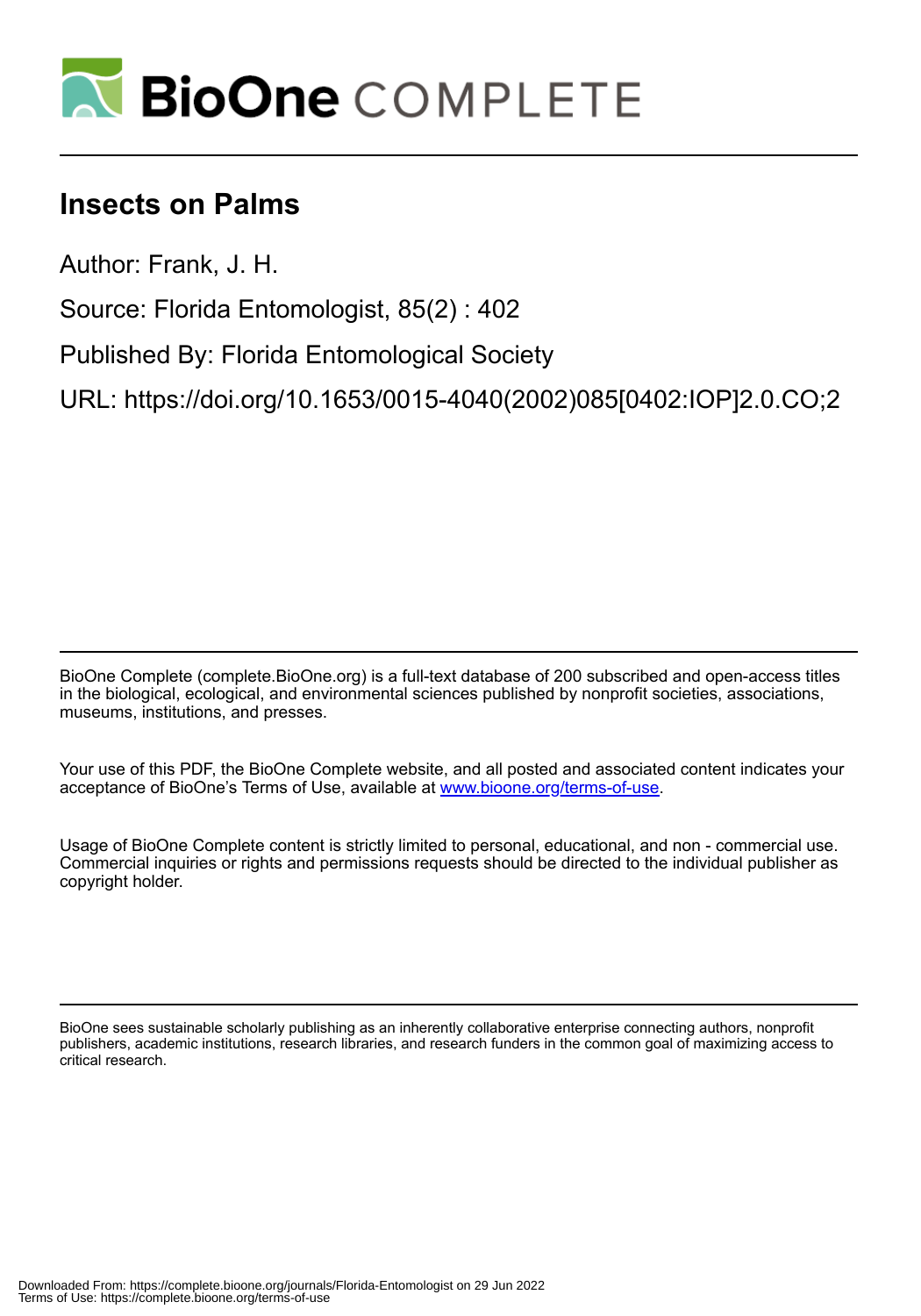

## **Insects on Palms**

Author: Frank, J. H.

Source: Florida Entomologist, 85(2) : 402

Published By: Florida Entomological Society

URL: https://doi.org/10.1653/0015-4040(2002)085[0402:IOP]2.0.CO;2

BioOne Complete (complete.BioOne.org) is a full-text database of 200 subscribed and open-access titles in the biological, ecological, and environmental sciences published by nonprofit societies, associations, museums, institutions, and presses.

Your use of this PDF, the BioOne Complete website, and all posted and associated content indicates your acceptance of BioOne's Terms of Use, available at www.bioone.org/terms-of-use.

Usage of BioOne Complete content is strictly limited to personal, educational, and non - commercial use. Commercial inquiries or rights and permissions requests should be directed to the individual publisher as copyright holder.

BioOne sees sustainable scholarly publishing as an inherently collaborative enterprise connecting authors, nonprofit publishers, academic institutions, research libraries, and research funders in the common goal of maximizing access to critical research.